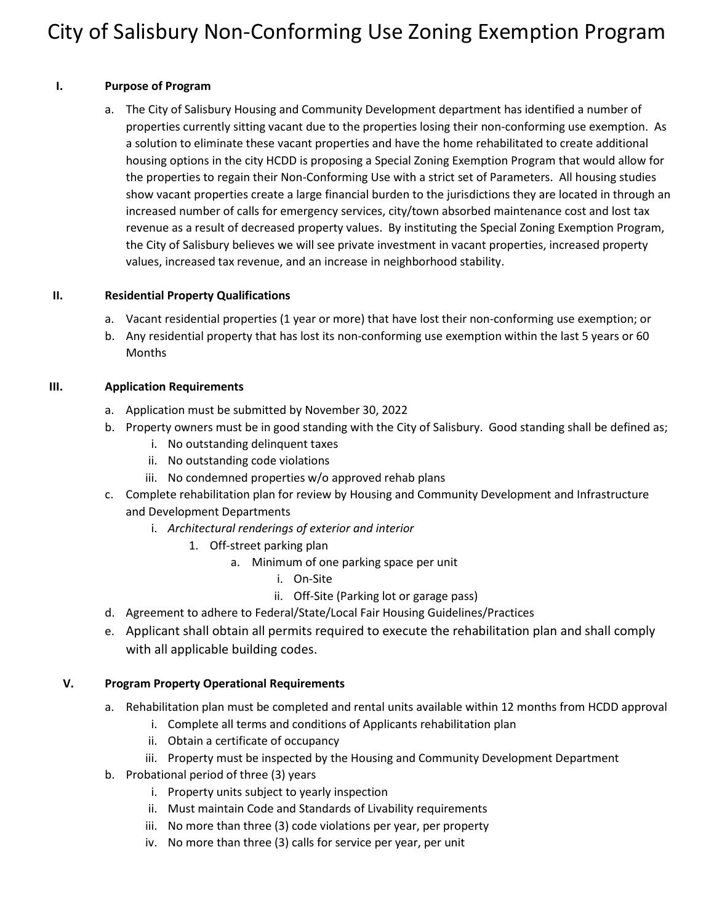# City of Salisbury Non-Conforming Use Zoning Exemption Program

#### **I. Purpose of Program**

a. The City of Salisbury Housing and Community Development department has identified a number of properties currently sitting vacant due to the properties losing their non-conforming use exemption. As a solution to eliminate these vacant properties and have the home rehabilitated to create additional housing options in the city HCDD is proposing a Special Zoning Exemption Program that would allow for the properties to regain their Non-Conforming Use with a strict set of Parameters. All housing studies show vacant properties create a large financial burden to the jurisdictions they are located in through an increased number of calls for emergency services, city/town absorbed maintenance cost and lost tax revenue as a result of decreased property values. By instituting the Special Zoning Exemption Program, the City of Salisbury believes we will see private investment in vacant properties, increased property values, increased tax revenue, and an increase in neighborhood stability.

#### **II. Residential Property Qualifications**

- a. Vacant residential properties (1 year or more) that have lost their non-conforming use exemption; or
- b. Any residential property that has lost its non-conforming use exemption within the last 5 years or 60 Months

#### **III. Application Requirements**

- a. Application must be submitted by November 30, 2022
- b. Property owners must be in good standing with the City of Salisbury. Good standing shall be defined as;
	- i. No outstanding delinquent taxes
	- ii. No outstanding code violations
	- iii. No condemned properties w/o approved rehab plans
- c. Complete rehabilitation plan for review by Housing and Community Development and Infrastructure and Development Departments
	- i. *Architectural renderings of exterior and interior* 
		- 1. Off-street parking plan
			- a. Minimum of one parking space per unit
				- i. On-Site
				- ii. Off-Site (Parking lot or garage pass)
- d. Agreement to adhere to Federal/State/Local Fair Housing Guidelines/Practices
- e. Applicant shall obtain all permits required to execute the rehabilitation plan and shall comply with all applicable building codes.

### **V. Program Property Operational Requirements**

- a. Rehabilitation plan must be completed and rental units available within 12 months from HCDD approval
	- i. Complete all terms and conditions of Applicants rehabilitation plan
	- ii. Obtain a certificate of occupancy
	- iii. Property must be inspected by the Housing and Community Development Department
- b. Probational period of three (3) years
	- i. Property units subject to yearly inspection
	- ii. Must maintain Code and Standards of Livability requirements
	- iii. No more than three (3) code violations per year, per property
	- iv. No more than three (3) calls for service per year, per unit